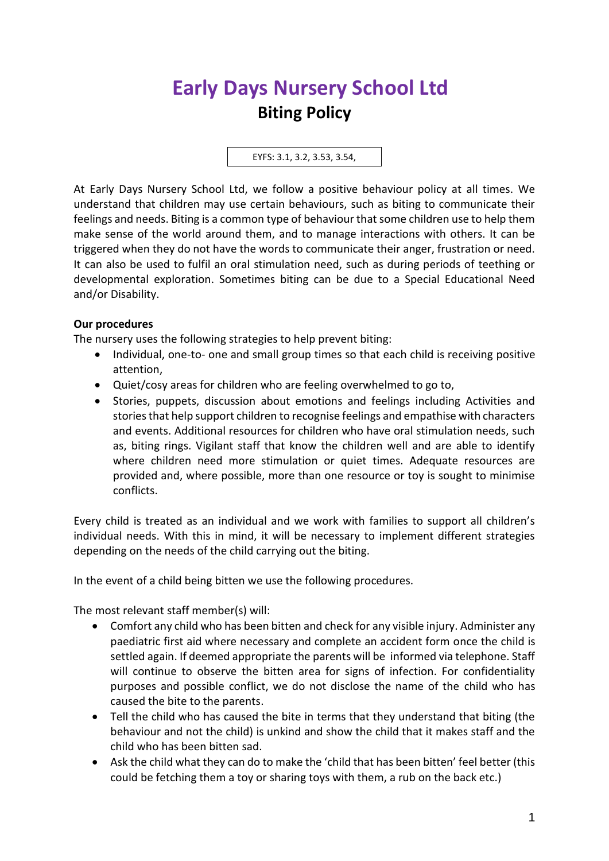## **Early Days Nursery School Ltd Biting Policy**

EYFS: 3.1, 3.2, 3.53, 3.54,

At Early Days Nursery School Ltd, we follow a positive behaviour policy at all times. We understand that children may use certain behaviours, such as biting to communicate their feelings and needs. Biting is a common type of behaviour that some children use to help them make sense of the world around them, and to manage interactions with others. It can be triggered when they do not have the words to communicate their anger, frustration or need. It can also be used to fulfil an oral stimulation need, such as during periods of teething or developmental exploration. Sometimes biting can be due to a Special Educational Need and/or Disability.

## **Our procedures**

The nursery uses the following strategies to help prevent biting:

- Individual, one-to- one and small group times so that each child is receiving positive attention,
- Quiet/cosy areas for children who are feeling overwhelmed to go to,
- Stories, puppets, discussion about emotions and feelings including Activities and stories that help support children to recognise feelings and empathise with characters and events. Additional resources for children who have oral stimulation needs, such as, biting rings. Vigilant staff that know the children well and are able to identify where children need more stimulation or quiet times. Adequate resources are provided and, where possible, more than one resource or toy is sought to minimise conflicts.

Every child is treated as an individual and we work with families to support all children's individual needs. With this in mind, it will be necessary to implement different strategies depending on the needs of the child carrying out the biting.

In the event of a child being bitten we use the following procedures.

The most relevant staff member(s) will:

- Comfort any child who has been bitten and check for any visible injury. Administer any paediatric first aid where necessary and complete an accident form once the child is settled again. If deemed appropriate the parents will be informed via telephone. Staff will continue to observe the bitten area for signs of infection. For confidentiality purposes and possible conflict, we do not disclose the name of the child who has caused the bite to the parents.
- Tell the child who has caused the bite in terms that they understand that biting (the behaviour and not the child) is unkind and show the child that it makes staff and the child who has been bitten sad.
- Ask the child what they can do to make the 'child that has been bitten' feel better (this could be fetching them a toy or sharing toys with them, a rub on the back etc.)